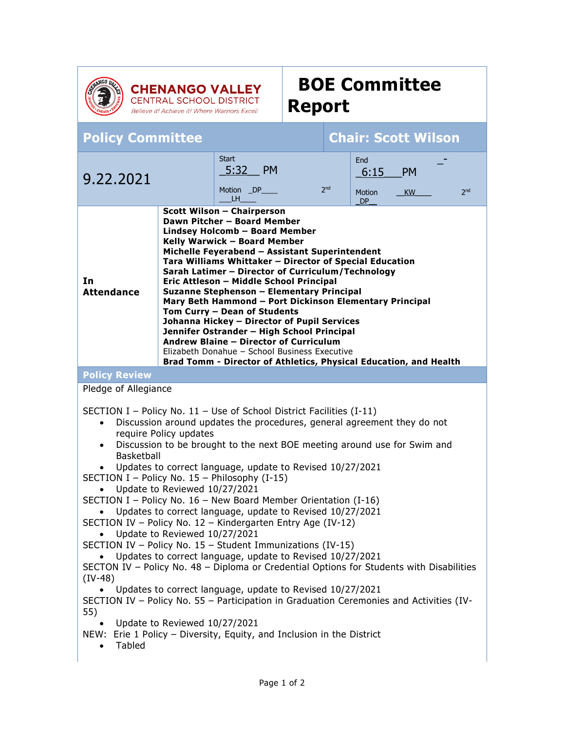

## **BOE Committee Report**

**CHENANGO VALLEY**<br>CENTRAL SCHOOL DISTRICT Believe it! Achieve it! Where Warriors Excel!

## **Policy Committee Chair: Scott Wilson**

| 9.22.2021                                                                                                                                                                                                                                                                                                                                                                                                                                                                                                                                                                                                                                                                                                                                                                       |                                                                                                                                                                                                                                                                                                                                                                                                                                                                                                                                      | <b>Start</b><br>5:32<br>- PM<br>Motion _DP_<br>LH. | 2 <sub>nd</sub> | End<br>6:15<br><b>Motion</b><br><b>DP</b> | <b>PM</b><br>KW | 2 <sub>nd</sub> |
|---------------------------------------------------------------------------------------------------------------------------------------------------------------------------------------------------------------------------------------------------------------------------------------------------------------------------------------------------------------------------------------------------------------------------------------------------------------------------------------------------------------------------------------------------------------------------------------------------------------------------------------------------------------------------------------------------------------------------------------------------------------------------------|--------------------------------------------------------------------------------------------------------------------------------------------------------------------------------------------------------------------------------------------------------------------------------------------------------------------------------------------------------------------------------------------------------------------------------------------------------------------------------------------------------------------------------------|----------------------------------------------------|-----------------|-------------------------------------------|-----------------|-----------------|
| <b>Scott Wilson - Chairperson</b><br>Dawn Pitcher - Board Member<br>Lindsey Holcomb - Board Member<br>Kelly Warwick - Board Member<br>Michelle Feyerabend - Assistant Superintendent<br>Tara Williams Whittaker - Director of Special Education<br>Sarah Latimer - Director of Curriculum/Technology<br>In<br>Eric Attleson - Middle School Principal<br><b>Attendance</b><br>Suzanne Stephenson - Elementary Principal<br>Mary Beth Hammond - Port Dickinson Elementary Principal<br>Tom Curry - Dean of Students<br>Johanna Hickey - Director of Pupil Services<br>Jennifer Ostrander - High School Principal<br>Andrew Blaine - Director of Curriculum<br>Elizabeth Donahue - School Business Executive<br>Brad Tomm - Director of Athletics, Physical Education, and Health |                                                                                                                                                                                                                                                                                                                                                                                                                                                                                                                                      |                                                    |                 |                                           |                 |                 |
| <b>Policy Review</b>                                                                                                                                                                                                                                                                                                                                                                                                                                                                                                                                                                                                                                                                                                                                                            |                                                                                                                                                                                                                                                                                                                                                                                                                                                                                                                                      |                                                    |                 |                                           |                 |                 |
| Pledge of Allegiance                                                                                                                                                                                                                                                                                                                                                                                                                                                                                                                                                                                                                                                                                                                                                            |                                                                                                                                                                                                                                                                                                                                                                                                                                                                                                                                      |                                                    |                 |                                           |                 |                 |
| SECTION I – Policy No. $11$ – Use of School District Facilities (I-11)<br>$\bullet$<br>$\bullet$<br><b>Basketball</b><br>SECTION I - Policy No. 15 - Philosophy (I-15)<br>SECTION I - Policy No. 16 - New Board Member Orientation (I-16)<br>SECTION IV - Policy No. 12 - Kindergarten Entry Age (IV-12)<br>SECTION IV - Policy No. 15 - Student Immunizations (IV-15)<br>SECTON IV - Policy No. 48 - Diploma or Credential Options for Students with Disabilities<br>$(IV-48)$<br>SECTION IV - Policy No. 55 - Participation in Graduation Ceremonies and Activities (IV-<br>55)<br>NEW: Erie 1 Policy - Diversity, Equity, and Inclusion in the District                                                                                                                      | Discussion around updates the procedures, general agreement they do not<br>require Policy updates<br>Discussion to be brought to the next BOE meeting around use for Swim and<br>Updates to correct language, update to Revised 10/27/2021<br>Update to Reviewed 10/27/2021<br>Updates to correct language, update to Revised 10/27/2021<br>Update to Reviewed 10/27/2021<br>Updates to correct language, update to Revised 10/27/2021<br>Updates to correct language, update to Revised 10/27/2021<br>Update to Reviewed 10/27/2021 |                                                    |                 |                                           |                 |                 |
| Tabled                                                                                                                                                                                                                                                                                                                                                                                                                                                                                                                                                                                                                                                                                                                                                                          |                                                                                                                                                                                                                                                                                                                                                                                                                                                                                                                                      |                                                    |                 |                                           |                 |                 |